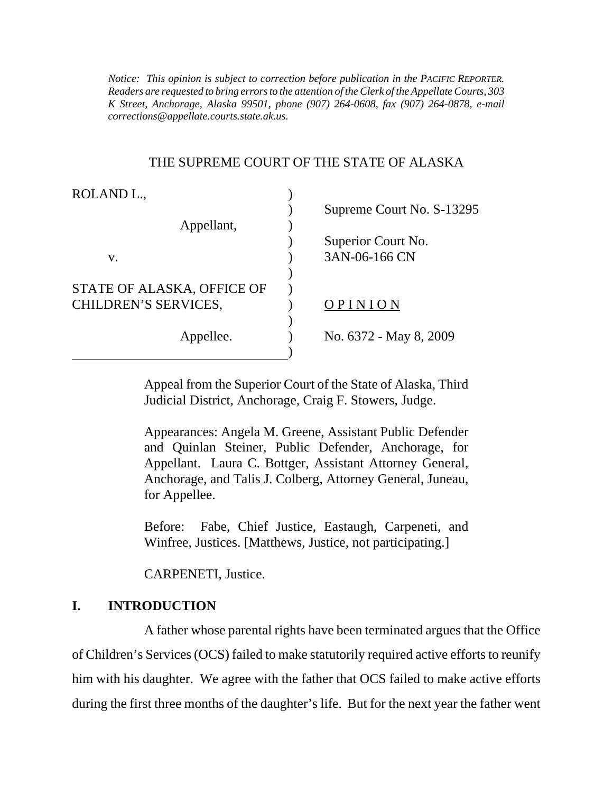*K Street, Anchorage, Alaska 99501, phone (907) 264-0608, fax (907) 264-0878, e-mail Notice: This opinion is subject to correction before publication in the PACIFIC REPORTER. Readers are requested to bring errors to the attention of the Clerk of the Appellate Courts, 303 corrections@appellate.courts.state.ak.us*.

#### THE SUPREME COURT OF THE STATE OF ALASKA

| ROLAND <sub>L</sub> ,      |                           |
|----------------------------|---------------------------|
|                            | Supreme Court No. S-13295 |
| Appellant,                 |                           |
|                            | Superior Court No.        |
| V.                         | 3AN-06-166 CN             |
|                            |                           |
| STATE OF ALASKA, OFFICE OF |                           |
| CHILDREN'S SERVICES,       | PINION                    |
|                            |                           |
| Appellee.                  | No. 6372 - May 8, 2009    |
|                            |                           |

Appeal from the Superior Court of the State of Alaska, Third Judicial District, Anchorage, Craig F. Stowers, Judge.

Appearances: Angela M. Greene, Assistant Public Defender and Quinlan Steiner, Public Defender, Anchorage, for Appellant. Laura C. Bottger, Assistant Attorney General, Anchorage, and Talis J. Colberg, Attorney General, Juneau, for Appellee.

Before: Fabe, Chief Justice, Eastaugh, Carpeneti, and Winfree, Justices. [Matthews, Justice, not participating.]

CARPENETI, Justice.

# **I. INTRODUCTION**

A father whose parental rights have been terminated argues that the Office of Children's Services (OCS) failed to make statutorily required active efforts to reunify him with his daughter. We agree with the father that OCS failed to make active efforts during the first three months of the daughter's life. But for the next year the father went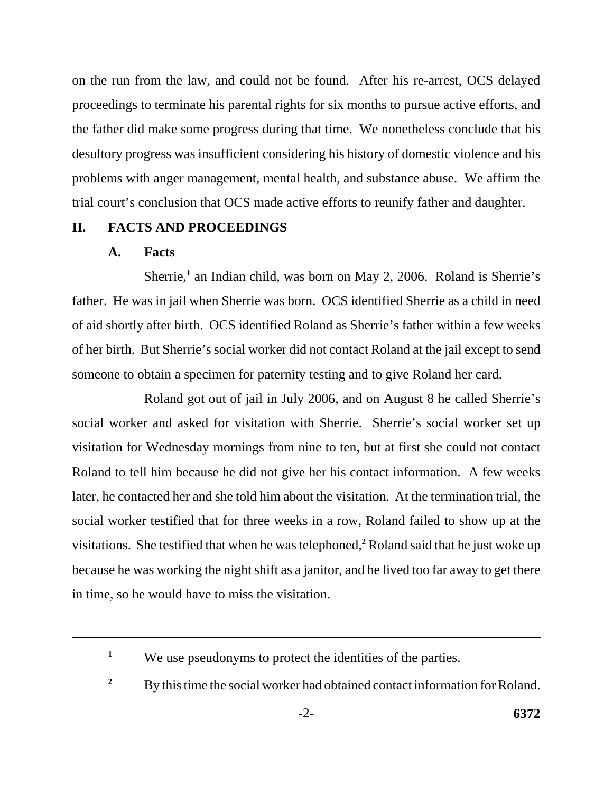on the run from the law, and could not be found. After his re-arrest, OCS delayed proceedings to terminate his parental rights for six months to pursue active efforts, and the father did make some progress during that time. We nonetheless conclude that his desultory progress was insufficient considering his history of domestic violence and his problems with anger management, mental health, and substance abuse. We affirm the trial court's conclusion that OCS made active efforts to reunify father and daughter.

## **II. FACTS AND PROCEEDINGS**

## **A. Facts**

Sherrie,<sup>1</sup> an Indian child, was born on May 2, 2006. Roland is Sherrie's father. He was in jail when Sherrie was born. OCS identified Sherrie as a child in need of aid shortly after birth. OCS identified Roland as Sherrie's father within a few weeks of her birth. But Sherrie's social worker did not contact Roland at the jail except to send someone to obtain a specimen for paternity testing and to give Roland her card.

Roland got out of jail in July 2006, and on August 8 he called Sherrie's social worker and asked for visitation with Sherrie. Sherrie's social worker set up visitation for Wednesday mornings from nine to ten, but at first she could not contact Roland to tell him because he did not give her his contact information. A few weeks later, he contacted her and she told him about the visitation. At the termination trial, the social worker testified that for three weeks in a row, Roland failed to show up at the visitations. She testified that when he was telephoned,<sup>2</sup> Roland said that he just woke up because he was working the night shift as a janitor, and he lived too far away to get there in time, so he would have to miss the visitation.

<sup>&</sup>lt;sup>1</sup> We use pseudonyms to protect the identities of the parties.

<sup>&</sup>lt;sup>2</sup> By this time the social worker had obtained contact information for Roland.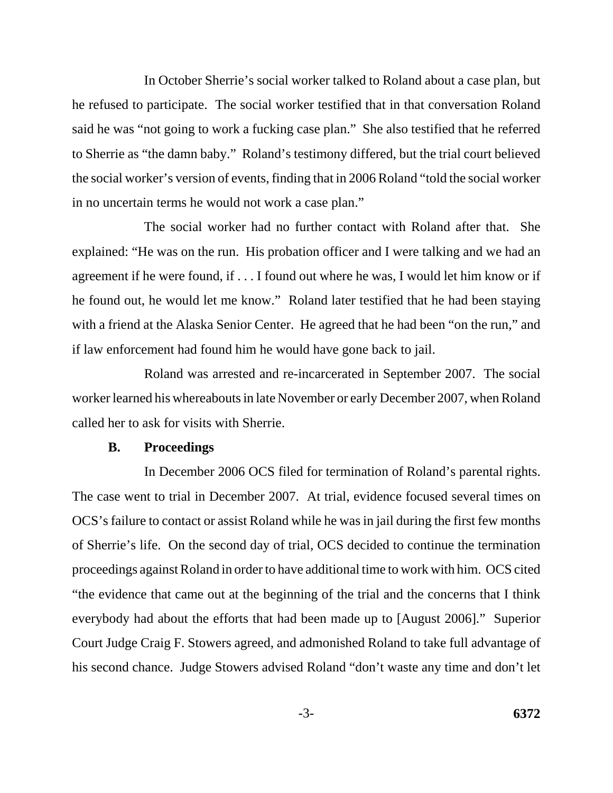In October Sherrie's social worker talked to Roland about a case plan, but he refused to participate. The social worker testified that in that conversation Roland said he was "not going to work a fucking case plan." She also testified that he referred to Sherrie as "the damn baby." Roland's testimony differed, but the trial court believed the social worker's version of events, finding that in 2006 Roland "told the social worker in no uncertain terms he would not work a case plan."

The social worker had no further contact with Roland after that. She explained: "He was on the run. His probation officer and I were talking and we had an agreement if he were found, if . . . I found out where he was, I would let him know or if he found out, he would let me know." Roland later testified that he had been staying with a friend at the Alaska Senior Center. He agreed that he had been "on the run," and if law enforcement had found him he would have gone back to jail.

Roland was arrested and re-incarcerated in September 2007. The social worker learned his whereabouts in late November or early December 2007, when Roland called her to ask for visits with Sherrie.

#### **B. Proceedings**

In December 2006 OCS filed for termination of Roland's parental rights. The case went to trial in December 2007. At trial, evidence focused several times on OCS's failure to contact or assist Roland while he was in jail during the first few months of Sherrie's life. On the second day of trial, OCS decided to continue the termination proceedings against Roland in order to have additional time to work with him. OCS cited "the evidence that came out at the beginning of the trial and the concerns that I think everybody had about the efforts that had been made up to [August 2006]." Superior Court Judge Craig F. Stowers agreed, and admonished Roland to take full advantage of his second chance. Judge Stowers advised Roland "don't waste any time and don't let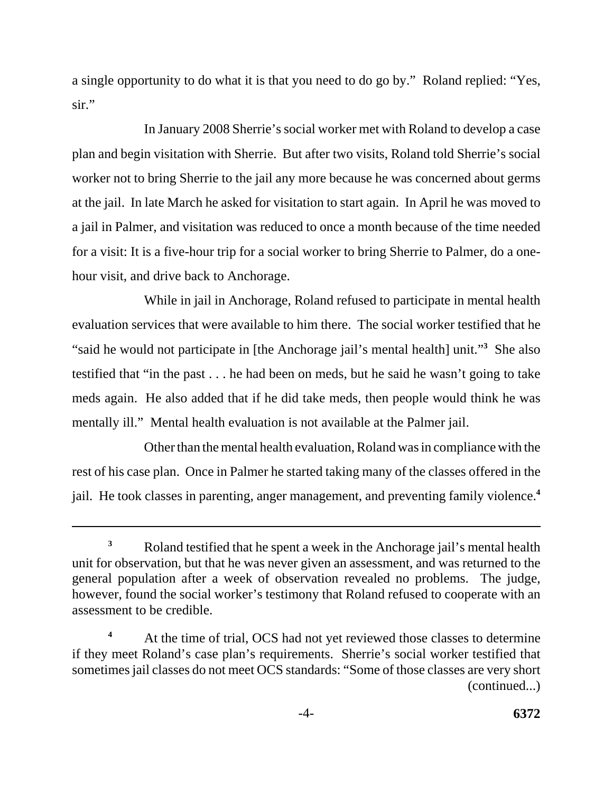a single opportunity to do what it is that you need to do go by." Roland replied: "Yes, sir."

In January 2008 Sherrie's social worker met with Roland to develop a case plan and begin visitation with Sherrie. But after two visits, Roland told Sherrie's social worker not to bring Sherrie to the jail any more because he was concerned about germs at the jail. In late March he asked for visitation to start again. In April he was moved to a jail in Palmer, and visitation was reduced to once a month because of the time needed for a visit: It is a five-hour trip for a social worker to bring Sherrie to Palmer, do a onehour visit, and drive back to Anchorage.

While in jail in Anchorage, Roland refused to participate in mental health evaluation services that were available to him there. The social worker testified that he "said he would not participate in [the Anchorage jail's mental health] unit."**<sup>3</sup>** She also testified that "in the past . . . he had been on meds, but he said he wasn't going to take meds again. He also added that if he did take meds, then people would think he was mentally ill." Mental health evaluation is not available at the Palmer jail.

Other than the mental health evaluation, Roland was in compliance with the rest of his case plan. Once in Palmer he started taking many of the classes offered in the jail. He took classes in parenting, anger management, and preventing family violence.**<sup>4</sup>**

<sup>&</sup>lt;sup>3</sup> Roland testified that he spent a week in the Anchorage jail's mental health unit for observation, but that he was never given an assessment, and was returned to the general population after a week of observation revealed no problems. The judge, however, found the social worker's testimony that Roland refused to cooperate with an assessment to be credible.

At the time of trial, OCS had not yet reviewed those classes to determine if they meet Roland's case plan's requirements. Sherrie's social worker testified that sometimes jail classes do not meet OCS standards: "Some of those classes are very short (continued...) **4**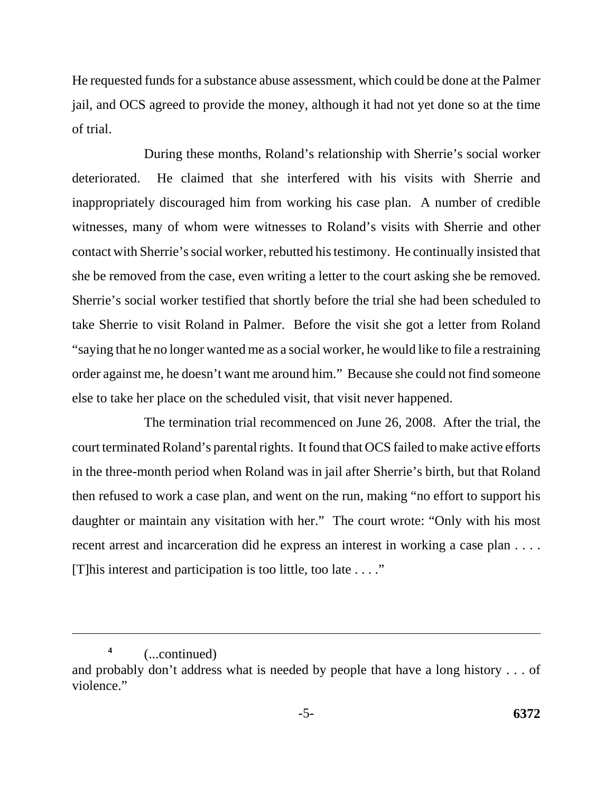He requested funds for a substance abuse assessment, which could be done at the Palmer jail, and OCS agreed to provide the money, although it had not yet done so at the time of trial.

During these months, Roland's relationship with Sherrie's social worker deteriorated. He claimed that she interfered with his visits with Sherrie and inappropriately discouraged him from working his case plan. A number of credible witnesses, many of whom were witnesses to Roland's visits with Sherrie and other contact with Sherrie's social worker, rebutted his testimony. He continually insisted that she be removed from the case, even writing a letter to the court asking she be removed. Sherrie's social worker testified that shortly before the trial she had been scheduled to take Sherrie to visit Roland in Palmer. Before the visit she got a letter from Roland "saying that he no longer wanted me as a social worker, he would like to file a restraining order against me, he doesn't want me around him." Because she could not find someone else to take her place on the scheduled visit, that visit never happened.

The termination trial recommenced on June 26, 2008. After the trial, the court terminated Roland's parental rights. It found that OCS failed to make active efforts in the three-month period when Roland was in jail after Sherrie's birth, but that Roland then refused to work a case plan, and went on the run, making "no effort to support his daughter or maintain any visitation with her." The court wrote: "Only with his most recent arrest and incarceration did he express an interest in working a case plan . . . . [T]his interest and participation is too little, too late . . . ."

(...continued) **4** 

and probably don't address what is needed by people that have a long history . . . of violence."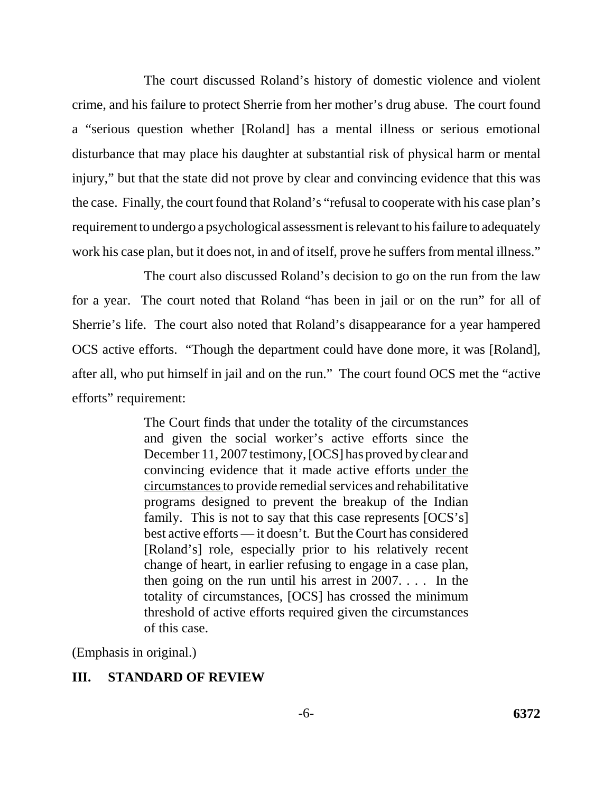The court discussed Roland's history of domestic violence and violent crime, and his failure to protect Sherrie from her mother's drug abuse. The court found a "serious question whether [Roland] has a mental illness or serious emotional disturbance that may place his daughter at substantial risk of physical harm or mental injury," but that the state did not prove by clear and convincing evidence that this was the case. Finally, the court found that Roland's "refusal to cooperate with his case plan's requirement to undergo a psychological assessment is relevant to his failure to adequately work his case plan, but it does not, in and of itself, prove he suffers from mental illness."

The court also discussed Roland's decision to go on the run from the law for a year. The court noted that Roland "has been in jail or on the run" for all of Sherrie's life. The court also noted that Roland's disappearance for a year hampered OCS active efforts. "Though the department could have done more, it was [Roland], after all, who put himself in jail and on the run." The court found OCS met the "active efforts" requirement:

> The Court finds that under the totality of the circumstances and given the social worker's active efforts since the December 11, 2007 testimony, [OCS] has proved by clear and convincing evidence that it made active efforts under the circumstances to provide remedial services and rehabilitative programs designed to prevent the breakup of the Indian family. This is not to say that this case represents  $[OCS's]$ best active efforts — it doesn't. But the Court has considered [Roland's] role, especially prior to his relatively recent change of heart, in earlier refusing to engage in a case plan, then going on the run until his arrest in 2007. . . . In the totality of circumstances, [OCS] has crossed the minimum threshold of active efforts required given the circumstances of this case.

(Emphasis in original.)

# **III. STANDARD OF REVIEW**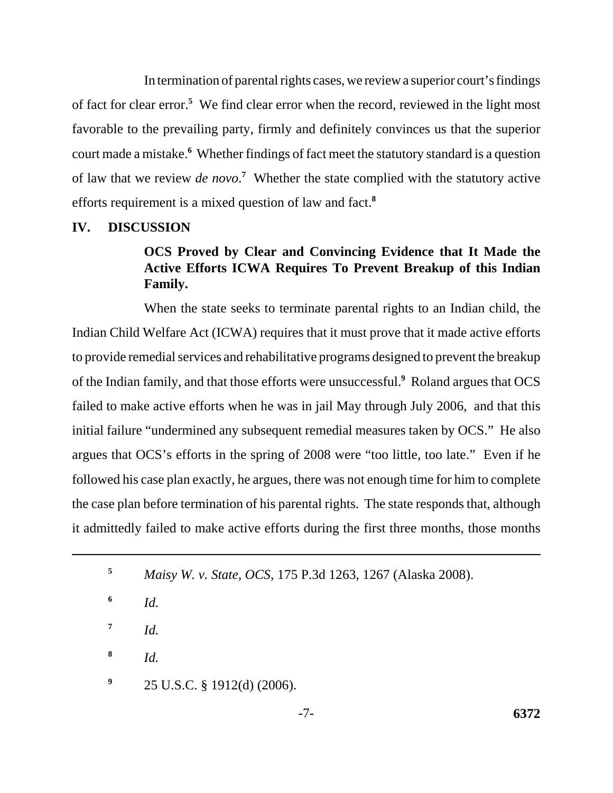In termination of parental rights cases, we review a superior court's findings of fact for clear error.**<sup>5</sup>** We find clear error when the record, reviewed in the light most favorable to the prevailing party, firmly and definitely convinces us that the superior court made a mistake.**<sup>6</sup>** Whether findings of fact meet the statutory standard is a question of law that we review *de novo*.<sup>7</sup> Whether the state complied with the statutory active efforts requirement is a mixed question of law and fact.**<sup>8</sup>**

## **IV. DISCUSSION**

# **OCS Proved by Clear and Convincing Evidence that It Made the Active Efforts ICWA Requires To Prevent Breakup of this Indian Family.**

When the state seeks to terminate parental rights to an Indian child, the Indian Child Welfare Act (ICWA) requires that it must prove that it made active efforts to provide remedial services and rehabilitative programs designed to prevent the breakup of the Indian family, and that those efforts were unsuccessful.**<sup>9</sup>** Roland argues that OCS failed to make active efforts when he was in jail May through July 2006, and that this initial failure "undermined any subsequent remedial measures taken by OCS." He also argues that OCS's efforts in the spring of 2008 were "too little, too late." Even if he followed his case plan exactly, he argues, there was not enough time for him to complete the case plan before termination of his parental rights. The state responds that, although it admittedly failed to make active efforts during the first three months, those months

 $7$  *Id.* 

**8** *Id.*

**<sup>9</sup>**25 U.S.C. § 1912(d) (2006).

**<sup>5</sup>** *Maisy W. v. State, OCS*, 175 P.3d 1263, 1267 (Alaska 2008).

**<sup>6</sup>** *Id.*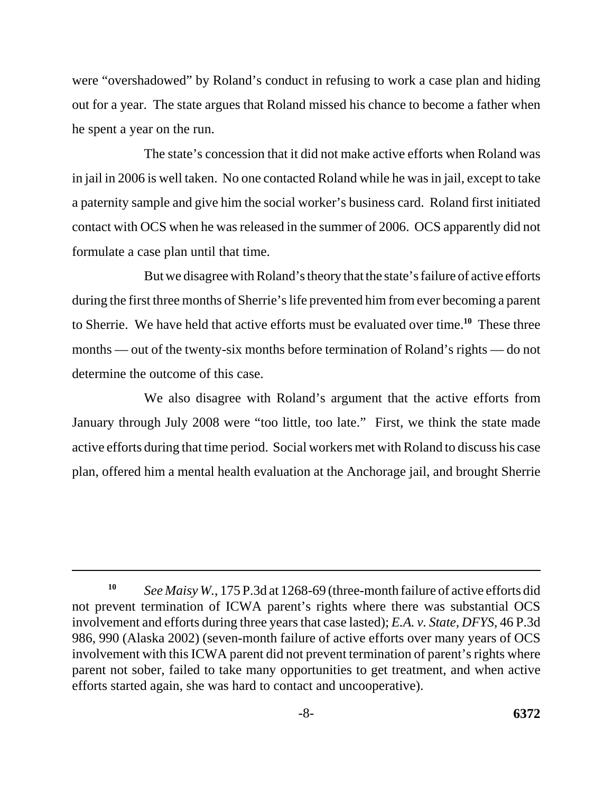were "overshadowed" by Roland's conduct in refusing to work a case plan and hiding out for a year. The state argues that Roland missed his chance to become a father when he spent a year on the run.

The state's concession that it did not make active efforts when Roland was in jail in 2006 is well taken. No one contacted Roland while he was in jail, except to take a paternity sample and give him the social worker's business card. Roland first initiated contact with OCS when he was released in the summer of 2006. OCS apparently did not formulate a case plan until that time.

But we disagree with Roland's theory that the state's failure of active efforts during the first three months of Sherrie's life prevented him from ever becoming a parent to Sherrie. We have held that active efforts must be evaluated over time.**<sup>10</sup>** These three months — out of the twenty-six months before termination of Roland's rights — do not determine the outcome of this case.

We also disagree with Roland's argument that the active efforts from January through July 2008 were "too little, too late." First, we think the state made active efforts during that time period. Social workers met with Roland to discuss his case plan, offered him a mental health evaluation at the Anchorage jail, and brought Sherrie

**<sup>10</sup>***See Maisy W.*, 175 P.3d at 1268-69 (three-month failure of active efforts did not prevent termination of ICWA parent's rights where there was substantial OCS involvement and efforts during three years that case lasted); *E.A. v. State, DFYS*, 46 P.3d 986, 990 (Alaska 2002) (seven-month failure of active efforts over many years of OCS involvement with this ICWA parent did not prevent termination of parent's rights where parent not sober, failed to take many opportunities to get treatment, and when active efforts started again, she was hard to contact and uncooperative).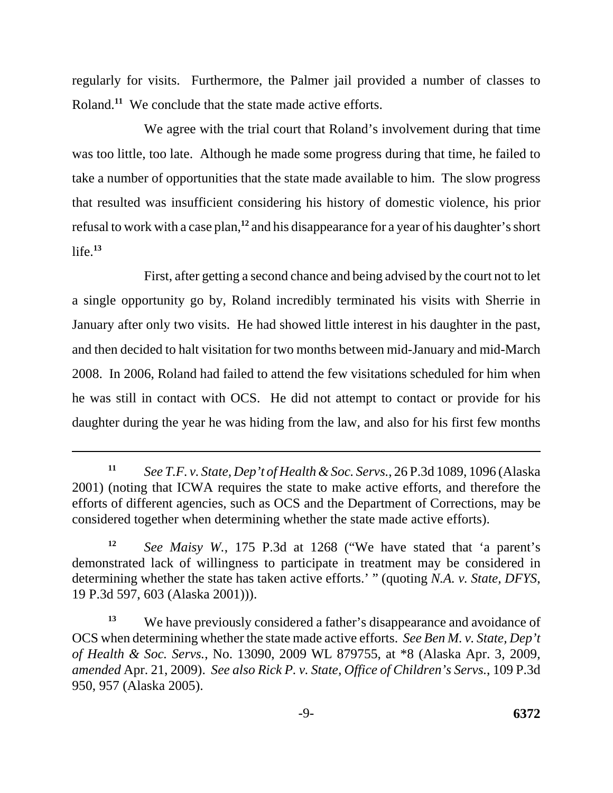regularly for visits. Furthermore, the Palmer jail provided a number of classes to Roland.<sup>11</sup> We conclude that the state made active efforts.

We agree with the trial court that Roland's involvement during that time was too little, too late. Although he made some progress during that time, he failed to take a number of opportunities that the state made available to him. The slow progress that resulted was insufficient considering his history of domestic violence, his prior refusal to work with a case plan,**<sup>12</sup>** and his disappearance for a year of his daughter's short life.**<sup>13</sup>**

First, after getting a second chance and being advised by the court not to let a single opportunity go by, Roland incredibly terminated his visits with Sherrie in January after only two visits. He had showed little interest in his daughter in the past, and then decided to halt visitation for two months between mid-January and mid-March 2008. In 2006, Roland had failed to attend the few visitations scheduled for him when he was still in contact with OCS. He did not attempt to contact or provide for his daughter during the year he was hiding from the law, and also for his first few months

**<sup>11</sup>***See T.F. v. State, Dep't of Health & Soc. Servs.*, 26 P.3d 1089, 1096 (Alaska 2001) (noting that ICWA requires the state to make active efforts, and therefore the efforts of different agencies, such as OCS and the Department of Corrections, may be considered together when determining whether the state made active efforts).

**<sup>12</sup>***See Maisy W.*, 175 P.3d at 1268 ("We have stated that 'a parent's demonstrated lack of willingness to participate in treatment may be considered in determining whether the state has taken active efforts.' " (quoting *N.A. v. State, DFYS*, 19 P.3d 597, 603 (Alaska 2001))).

<sup>&</sup>lt;sup>13</sup> We have previously considered a father's disappearance and avoidance of OCS when determining whether the state made active efforts. *See Ben M. v. State, Dep't of Health & Soc. Servs.*, No. 13090, 2009 WL 879755, at \*8 (Alaska Apr. 3, 2009, *amended* Apr. 21, 2009). *See also Rick P. v. State, Office of Children's Servs.*, 109 P.3d 950, 957 (Alaska 2005).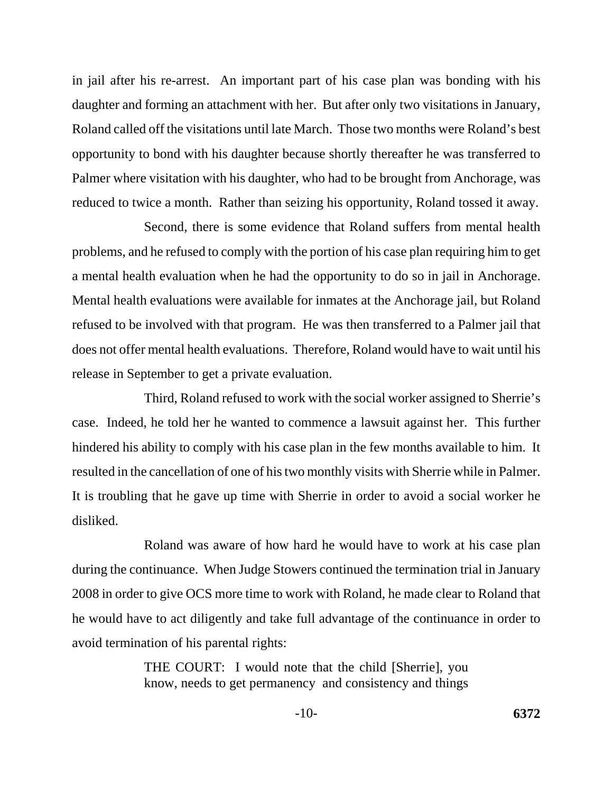in jail after his re-arrest. An important part of his case plan was bonding with his daughter and forming an attachment with her. But after only two visitations in January, Roland called off the visitations until late March. Those two months were Roland's best opportunity to bond with his daughter because shortly thereafter he was transferred to Palmer where visitation with his daughter, who had to be brought from Anchorage, was reduced to twice a month. Rather than seizing his opportunity, Roland tossed it away.

Second, there is some evidence that Roland suffers from mental health problems, and he refused to comply with the portion of his case plan requiring him to get a mental health evaluation when he had the opportunity to do so in jail in Anchorage. Mental health evaluations were available for inmates at the Anchorage jail, but Roland refused to be involved with that program. He was then transferred to a Palmer jail that does not offer mental health evaluations. Therefore, Roland would have to wait until his release in September to get a private evaluation.

Third, Roland refused to work with the social worker assigned to Sherrie's case. Indeed, he told her he wanted to commence a lawsuit against her. This further hindered his ability to comply with his case plan in the few months available to him. It resulted in the cancellation of one of his two monthly visits with Sherrie while in Palmer. It is troubling that he gave up time with Sherrie in order to avoid a social worker he disliked.

Roland was aware of how hard he would have to work at his case plan during the continuance. When Judge Stowers continued the termination trial in January 2008 in order to give OCS more time to work with Roland, he made clear to Roland that he would have to act diligently and take full advantage of the continuance in order to avoid termination of his parental rights:

> THE COURT: I would note that the child [Sherrie], you know, needs to get permanency and consistency and things